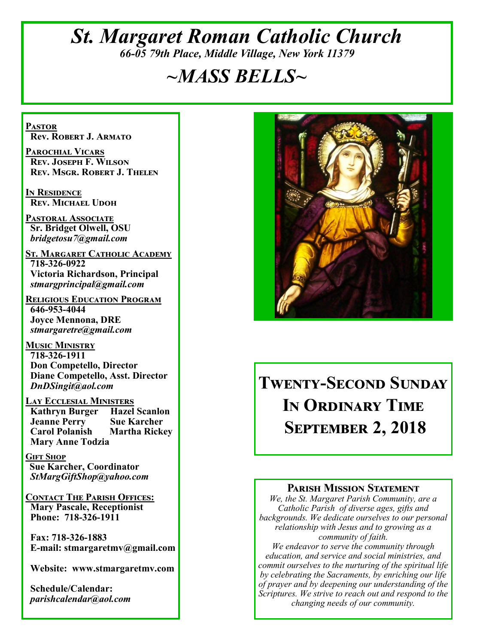## *St. Margaret Roman Catholic Church 66-05 79th Place, Middle Village, New York 11379*

# *~MASS BELLS~*

**Pastor Rev. Robert J. Armato**

**Parochial Vicars Rev. Joseph F. Wilson Rev. Msgr. Robert J. Thelen**

**In Residence Rev. Michael Udoh**

**Pastoral Associate Sr. Bridget Olwell, OSU**  *bridgetosu7@gmail.com*

**St. Margaret Catholic Academy 718-326-0922 Victoria Richardson, Principal**  *stmargprincipal@gmail.com*

**Religious Education Program 646-953-4044 Joyce Mennona, DRE** *stmargaretre@gmail.com*

**Music Ministry 718-326-1911 Don Competello, Director Diane Competello, Asst. Director** *DnDSingit@aol.com*

**Lay Ecclesial Ministers Kathryn Burger Jeanne Perry Sue Karcher Carol Polanish Martha Rickey Mary Anne Todzia**

**Gift Shop Sue Karcher, Coordinator** *StMargGiftShop@yahoo.com*

**Contact The Parish Offices: Mary Pascale, Receptionist Phone: 718-326-1911** 

 **Fax: 718-326-1883 E-mail: stmargaretmv@gmail.com**

 **Website: www.stmargaretmv.com**

 **Schedule/Calendar:** *parishcalendar@aol.com* 



**Twenty-Second Sunday In Ordinary Time September 2, 2018** 

#### **Parish Mission Statement**

*We, the St. Margaret Parish Community, are a Catholic Parish of diverse ages, gifts and backgrounds. We dedicate ourselves to our personal relationship with Jesus and to growing as a community of faith.*

*We endeavor to serve the community through education, and service and social ministries, and commit ourselves to the nurturing of the spiritual life by celebrating the Sacraments, by enriching our life of prayer and by deepening our understanding of the Scriptures. We strive to reach out and respond to the changing needs of our community.*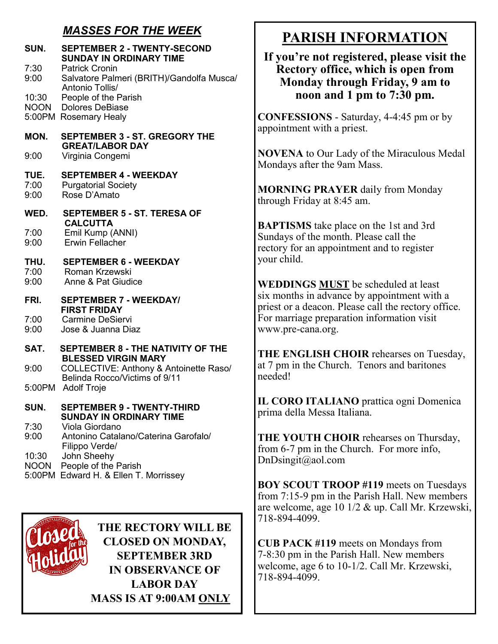## *MASSES FOR THE WEEK*

| SUN.                 | <b>SEPTEMBER 2 - TWENTY-SECOND</b><br><b>SUNDAY IN ORDINARY TIME</b>                           |
|----------------------|------------------------------------------------------------------------------------------------|
| 7:30<br>9:00         | <b>Patrick Cronin</b><br>Salvatore Palmeri (BRITH)/Gandolfa Musca/<br>Antonio Tollis/          |
| 10:30                | People of the Parish<br><b>NOON</b> Dolores DeBiase<br>5:00PM Rosemary Healy                   |
| MON.                 | <b>SEPTEMBER 3 - ST. GREGORY THE</b><br><b>GREAT/LABOR DAY</b>                                 |
| 9:00                 | Virginia Congemi                                                                               |
| TUE.<br>7:00<br>9:00 | <b>SEPTEMBER 4 - WEEKDAY</b><br><b>Purgatorial Society</b><br>Rose D'Amato                     |
| WED.                 | <b>SEPTEMBER 5 - ST. TERESA OF</b><br><b>CALCUTTA</b>                                          |
| 7:00<br>9:00         | Emil Kump (ANNI)<br>Erwin Fellacher                                                            |
| THU.<br>7:00<br>9:00 | <b>SEPTEMBER 6 - WEEKDAY</b><br>Roman Krzewski<br>Anne & Pat Giudice                           |
| FRI.                 | <b>SEPTEMBER 7 - WEEKDAY/</b>                                                                  |
|                      | <b>FIRST FRIDAY</b><br><b>Carmine DeSiervi</b>                                                 |
| 7:00<br>9:00         | Jose & Juanna Diaz                                                                             |
| SAT.                 | <b>SEPTEMBER 8 - THE NATIVITY OF THE</b>                                                       |
| 9:00                 | <b>BLESSED VIRGIN MARY</b><br>COLLECTIVE: Anthony & Antoinette Raso/                           |
|                      | Belinda Rocco/Victims of 9/11<br>5:00PM Adolf Troje                                            |
| SUN.                 | <b>SEPTEMBER 9 - TWENTY-THIRD</b><br><b>SUNDAY IN ORDINARY TIME</b>                            |
| 7:30<br>9:00         | Viola Giordano<br>Antonino Catalano/Caterina Garofalo/                                         |
| 10:30<br><b>NOON</b> | Filippo Verde/<br>John Sheehy<br>People of the Parish<br>5:00PM Edward H. & Ellen T. Morrissey |
|                      |                                                                                                |



**THE RECTORY WILL BE CLOSED ON MONDAY, SEPTEMBER 3RD IN OBSERVANCE OF LABOR DAY MASS IS AT 9:00AM ONLY**

## **PARISH INFORMATION**

#### **If you're not registered, please visit the Rectory office, which is open from Monday through Friday, 9 am to noon and 1 pm to 7:30 pm.**

**CONFESSIONS** - Saturday, 4-4:45 pm or by appointment with a priest.

**NOVENA** to Our Lady of the Miraculous Medal Mondays after the 9am Mass.

**MORNING PRAYER** daily from Monday through Friday at 8:45 am.

**BAPTISMS** take place on the 1st and 3rd Sundays of the month. Please call the rectory for an appointment and to register your child.

**WEDDINGS MUST** be scheduled at least six months in advance by appointment with a priest or a deacon. Please call the rectory office. For marriage preparation information visit www.pre-cana.org.

**THE ENGLISH CHOIR** rehearses on Tuesday, at 7 pm in the Church. Tenors and baritones needed!

**IL CORO ITALIANO** prattica ogni Domenica prima della Messa Italiana.

**THE YOUTH CHOIR** rehearses on Thursday, from 6-7 pm in the Church. For more info, DnDsingit@aol.com

**BOY SCOUT TROOP #119** meets on Tuesdays from 7:15-9 pm in the Parish Hall. New members are welcome, age 10 1/2 & up. Call Mr. Krzewski, 718-894-4099.

**CUB PACK #119** meets on Mondays from 7-8:30 pm in the Parish Hall. New members welcome, age 6 to 10-1/2. Call Mr. Krzewski, 718-894-4099.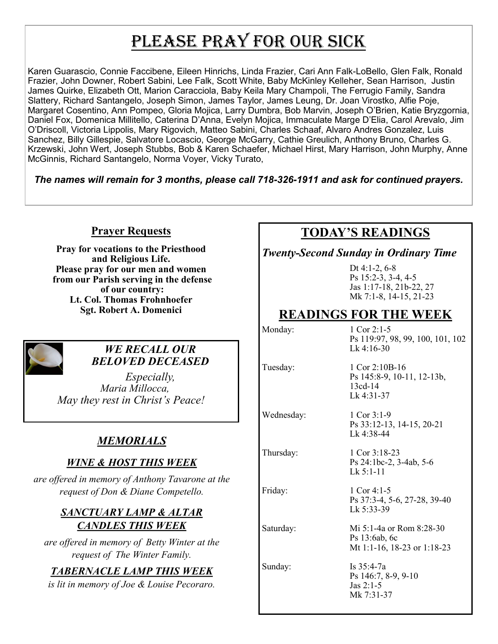# PLEASE PRAY FOR OUR SICK

Karen Guarascio, Connie Faccibene, Eileen Hinrichs, Linda Frazier, Cari Ann Falk-LoBello, Glen Falk, Ronald Frazier, John Downer, Robert Sabini, Lee Falk, Scott White, Baby McKinley Kelleher, Sean Harrison, Justin James Quirke, Elizabeth Ott, Marion Caracciola, Baby Keila Mary Champoli, The Ferrugio Family, Sandra Slattery, Richard Santangelo, Joseph Simon, James Taylor, James Leung, Dr. Joan Virostko, Alfie Poje, Margaret Cosentino, Ann Pompeo, Gloria Mojica, Larry Dumbra, Bob Marvin, Joseph O'Brien, Katie Bryzgornia, Daniel Fox, Domenica Millitello, Caterina D'Anna, Evelyn Mojica, Immaculate Marge D'Elia, Carol Arevalo, Jim O'Driscoll, Victoria Lippolis, Mary Rigovich, Matteo Sabini, Charles Schaaf, Alvaro Andres Gonzalez, Luis Sanchez, Billy Gillespie, Salvatore Locascio, George McGarry, Cathie Greulich, Anthony Bruno, Charles G. Krzewski, John Wert, Joseph Stubbs, Bob & Karen Schaefer, Michael Hirst, Mary Harrison, John Murphy, Anne McGinnis, Richard Santangelo, Norma Voyer, Vicky Turato,

*The names will remain for 3 months, please call 718-326-1911 and ask for continued prayers.*

#### **Prayer Requests**

**Pray for vocations to the Priesthood and Religious Life. Please pray for our men and women from our Parish serving in the defense of our country: Lt. Col. Thomas Frohnhoefer Sgt. Robert A. Domenici** 



#### *WE RECALL OUR BELOVED DECEASED*

*Especially, Maria Millocca, May they rest in Christ's Peace!*

## *MEMORIALS*

### *WINE & HOST THIS WEEK*

*are offered in memory of Anthony Tavarone at the request of Don & Diane Competello.* 

#### *SANCTUARY LAMP & ALTAR CANDLES THIS WEEK*

*are offered in memory of Betty Winter at the request of The Winter Family.* 

#### *TABERNACLE LAMP THIS WEEK*

*is lit in memory of Joe & Louise Pecoraro.* 

## **TODAY'S READINGS**

*Twenty-Second Sunday in Ordinary Time*

Dt 4:1-2, 6-8 Ps 15:2-3, 3-4, 4-5 Jas 1:17-18, 21b-22, 27 Mk 7:1-8, 14-15, 21-23

## **READINGS FOR THE WEEK**

Monday: 1 Cor 2:1-5 Ps 119:97, 98, 99, 100, 101, 102 Lk 4:16-30 Tuesday: 1 Cor 2:10B-16 Ps 145:8-9, 10-11, 12-13b, 13cd-14 Lk 4:31-37 Wednesday: 1 Cor 3:1-9 Ps 33:12-13, 14-15, 20-21 Lk 4:38-44 Thursday: 1 Cor 3:18-23 Ps 24:1bc-2, 3-4ab, 5-6 Lk 5:1-11 Friday: 1 Cor 4:1-5 Ps 37:3-4, 5-6, 27-28, 39-40 Lk 5:33-39 Saturday: Mi 5:1-4a or Rom 8:28-30 Ps 13:6ab, 6c Mt 1:1-16, 18-23 or 1:18-23 Sunday: Is 35:4-7a Ps 146:7, 8-9, 9-10 Jas 2:1-5 Mk 7:31-37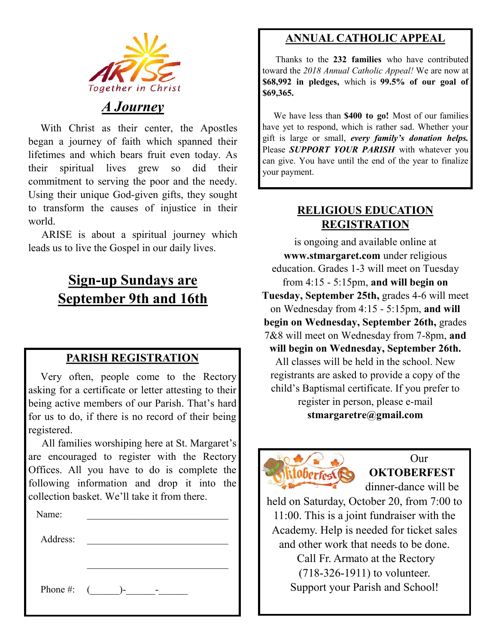

## *A Journey*

 With Christ as their center, the Apostles began a journey of faith which spanned their lifetimes and which bears fruit even today. As their spiritual lives grew so did their commitment to serving the poor and the needy. Using their unique God-given gifts, they sought to transform the causes of injustice in their world.

 ARISE is about a spiritual journey which leads us to live the Gospel in our daily lives.

# **Sign-up Sundays are September 9th and 16th**

#### **PARISH REGISTRATION**

 Very often, people come to the Rectory asking for a certificate or letter attesting to their being active members of our Parish. That's hard for us to do, if there is no record of their being registered.

 All families worshiping here at St. Margaret's are encouraged to register with the Rectory Offices. All you have to do is complete the following information and drop it into the collection basket. We'll take it from there. Ĭ

| Name:    |                 |
|----------|-----------------|
| Address: |                 |
|          |                 |
|          |                 |
|          | Phone #: $($ )- |
|          |                 |

## **ANNUAL CATHOLIC APPEAL**

 Thanks to the **232 families** who have contributed toward the *2018 Annual Catholic Appeal!* We are now at **\$68,992 in pledges,** which is **99.5% of our goal of \$69,365.** 

 We have less than **\$400 to go!** Most of our families have yet to respond, which is rather sad. Whether your gift is large or small, *every family's donation helps.*  Please *SUPPORT YOUR PARISH* with whatever you can give. You have until the end of the year to finalize your payment.

#### **RELIGIOUS EDUCATION REGISTRATION**

is ongoing and available online at **www.stmargaret.com** under religious education. Grades 1-3 will meet on Tuesday from 4:15 - 5:15pm, **and will begin on Tuesday, September 25th,** grades 4-6 will meet on Wednesday from 4:15 - 5:15pm, **and will begin on Wednesday, September 26th,** grades 7&8 will meet on Wednesday from 7-8pm, **and will begin on Wednesday, September 26th.**  All classes will be held in the school. New registrants are asked to provide a copy of the child's Baptismal certificate. If you prefer to register in person, please e-mail **stmargaretre@gmail.com**



 Our **OKTOBERFEST** 

dinner-dance will be

held on Saturday, October 20, from 7:00 to 11:00. This is a joint fundraiser with the Academy. Help is needed for ticket sales and other work that needs to be done.

Call Fr. Armato at the Rectory (718-326-1911) to volunteer. Support your Parish and School!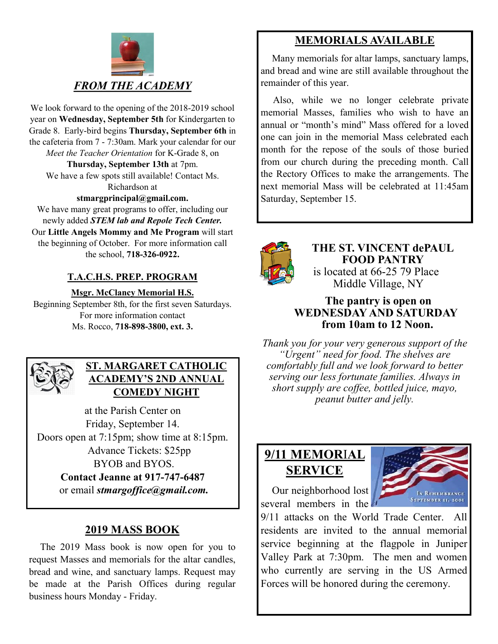

We look forward to the opening of the 2018-2019 school year on **Wednesday, September 5th** for Kindergarten to Grade 8. Early-bird begins **Thursday, September 6th** in the cafeteria from 7 - 7:30am. Mark your calendar for our *Meet the Teacher Orientation* for K-Grade 8, on **Thursday, September 13th** at 7pm. We have a few spots still available! Contact Ms.

Richardson at

**stmargprincipal@gmail.com.** We have many great programs to offer, including our

newly added *STEM lab and Repole Tech Center.*  Our **Little Angels Mommy and Me Program** will start the beginning of October. For more information call the school, **718-326-0922.** 

#### **T.A.C.H.S. PREP. PROGRAM**

**Msgr. McClancy Memorial H.S.**

Beginning September 8th, for the first seven Saturdays. For more information contact Ms. Rocco, **718-898-3800, ext. 3.**



#### **ST. MARGARET CATHOLIC ACADEMY'S 2ND ANNUAL COMEDY NIGHT**

at the Parish Center on Friday, September 14. Doors open at 7:15pm; show time at 8:15pm. Advance Tickets: \$25pp BYOB and BYOS. **Contact Jeanne at 917-747-6487** or email *stmargoffice@gmail.com.*

## **2019 MASS BOOK**

 The 2019 Mass book is now open for you to request Masses and memorials for the altar candles, bread and wine, and sanctuary lamps. Request may be made at the Parish Offices during regular business hours Monday - Friday.

## **MEMORIALS AVAILABLE**

Many memorials for altar lamps, sanctuary lamps, and bread and wine are still available throughout the remainder of this year.

 Also, while we no longer celebrate private memorial Masses, families who wish to have an annual or "month's mind" Mass offered for a loved one can join in the memorial Mass celebrated each month for the repose of the souls of those buried from our church during the preceding month. Call the Rectory Offices to make the arrangements. The next memorial Mass will be celebrated at 11:45am Saturday, September 15.



**THE ST. VINCENT dePAUL FOOD PANTRY** is located at 66-25 79 Place Middle Village, NY

#### **The pantry is open on WEDNESDAY AND SATURDAY from 10am to 12 Noon.**

*Thank you for your very generous support of the "Urgent" need for food. The shelves are comfortably full and we look forward to better serving our less fortunate families. Always in short supply are coffee, bottled juice, mayo, peanut butter and jelly.*

# **9/11 MEMOR**I**AL SERVICE**



 Our neighborhood lost several members in the

9/11 attacks on the World Trade Center. All residents are invited to the annual memorial service beginning at the flagpole in Juniper Valley Park at 7:30pm. The men and women who currently are serving in the US Armed Forces will be honored during the ceremony.